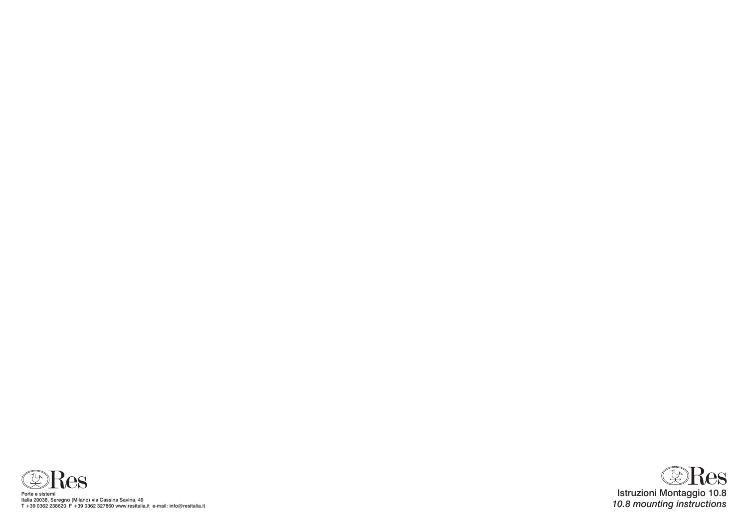

Porte e sistemi Italia 20038, Seregno (Milano) via Cassina Savina, 49 T +39 0362 238620 F +39 0362 327860 www.resitalia.it e-mail: info@resitalia.it

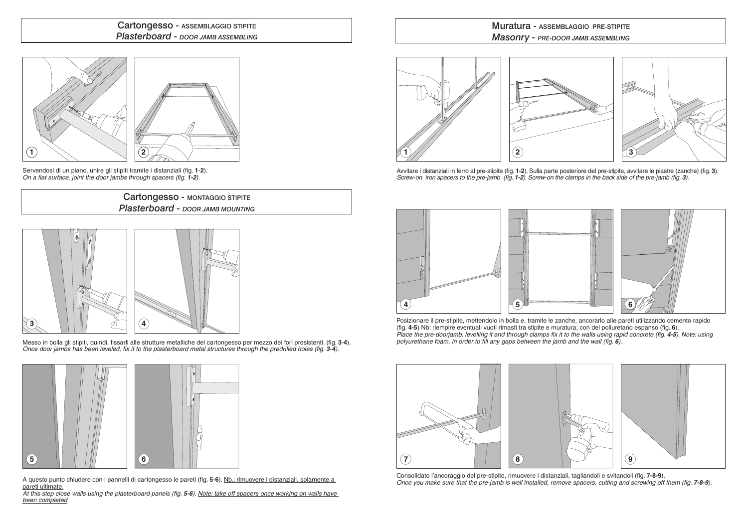### Cartongesso - ASSEMBLAGGIO STIPITE *Plasterboard* - *Door jamb Assembling*



Messo in bolla gli stipiti, quindi, fissarli alle strutture metalliche del cartongesso per mezzo dei fori presistenti. (fig. **3**-**4**). *Once door jambs has been leveled, fix it to the plasterboard metal structures through the predrilled holes (fig. 3-4).* 

Servendosi di un piano, unire gli stipiti tramite i distanziali (fig. **1**-**2**). *On a flat surface, joint the door jambs through spacers (fig. 1-2).*

A questo punto chiudere con i pannelli di cartongesso le pareti (fig. **5**-**6**). Nb.: rimuovere i distanziali, solamente a pareti ultimate. **5 6**

*At this step close walls using the plasterboard panels (fig. 5-6)*. *Note: take off spacers once working on walls have been completed*

# **1 2**





#### Muratura - ASSEMBLAGGIO PRE-STIPITE *Masonry* - *Pre-door jamb Assembling*



Consolidato l'ancoraggio del pre-stipite, rimuovere i distanziali, tagliandoli e svitandoli (fig. **7-8-9**). *Once you make sure that the pre-jamb is well installed, remove spacers, cutting and screwing off them (fig. 7-8-9).* 

Avvitare i distanziali in ferro al pre-stipite (fig. **1-2**). Sulla parte posteriore del pre-stipite, avvitare le piastre (zanche) (fig. **3**). *Screw-on iron spacers to the pre-jamb (fig. 1-2). Screw-on the clamps in the back side of the pre-jamb (fig. 3).*



Posizionare il pre-stipite, mettendolo in bolla e, tramite le zanche, ancorarlo alle pareti utilizzando cemento rapido (fig. **4-5**) Nb: riempire eventuali vuoti rimasti tra stipite e muratura, con del poliuretano espanso (fig. **6**). *Place the pre-doorjamb, levelling it and through clamps fix it to the walls using rapid concrete (fig. 4-5). Note: using <i>Place the pre-doorjamb, levelling it and through clamps fix it to the walls using rapid concrete ( polyurethane foam, in order to fill any gaps between the jamb and the wall (fig. 6).*

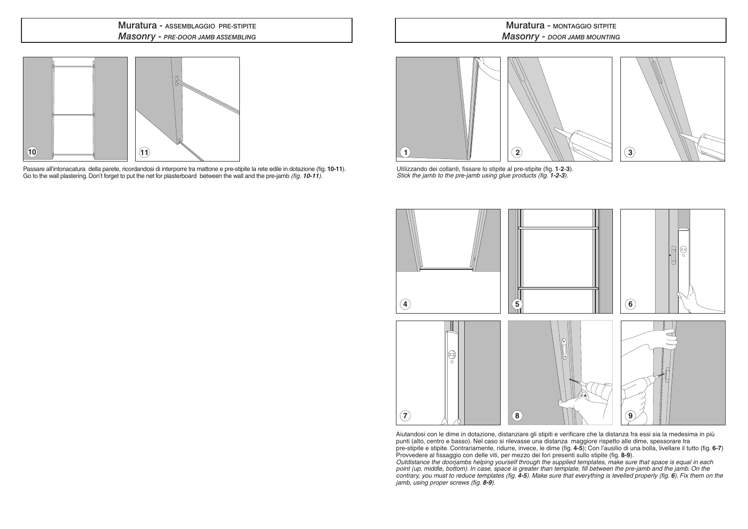Passare all'intonacatura della parete, ricordandosi di interporre tra mattone e pre-stipite la rete edile in dotazione (fig. **10-11**). Go to the wall plastering. Don't forget to put the net for plasterboard between the wall and the pre-jamb *(fig. 10-11).*

## **Muratura - MONTAGGIO SITPITE** *Masonry* - *Door jamb mounting*

### Muratura - ASSEMBLAGGIO PRE-STIPITE *Masonry* - *Pre-door jamb Assembling*

# **10 11 11**

Utilizzando dei collanti, fissare lo stipite al pre-stipite (fig. **1**-**2**-**3**). *Stick the jamb to the pre-jamb using glue products (fig. 1-2-3).*



Aiutandosi con le dime in dotazione, distanziare gli stipiti e verificare che la distanza fra essi sia la medesima in più punti (alto, centro e basso). Nel caso si rilevasse una distanza maggiore rispetto alle dime, spessorare tra pre-stipite e stipite. Contrariamente, ridurre, invece, le dime (fig. **4-5**); Con l'ausilio di una bolla, livellare il tutto (fig. **6-7**) Provvedere al fissaggio con delle viti, per mezzo dei fori presenti sullo stipite (fig. **8-9**). *Outdistance the doorjambs helping yourself through the supplied templates, make sure that space is equal in each*  point (up, middle, bottom). In case, space is greater than template, fill between the pre-jamb and the jamb. On the *contrary, you must to reduce templates (fig. 4-5). Make sure that everything is levelled properly (fig. 6). Fix them on the jamb, using proper screws (fig. 8-9).*